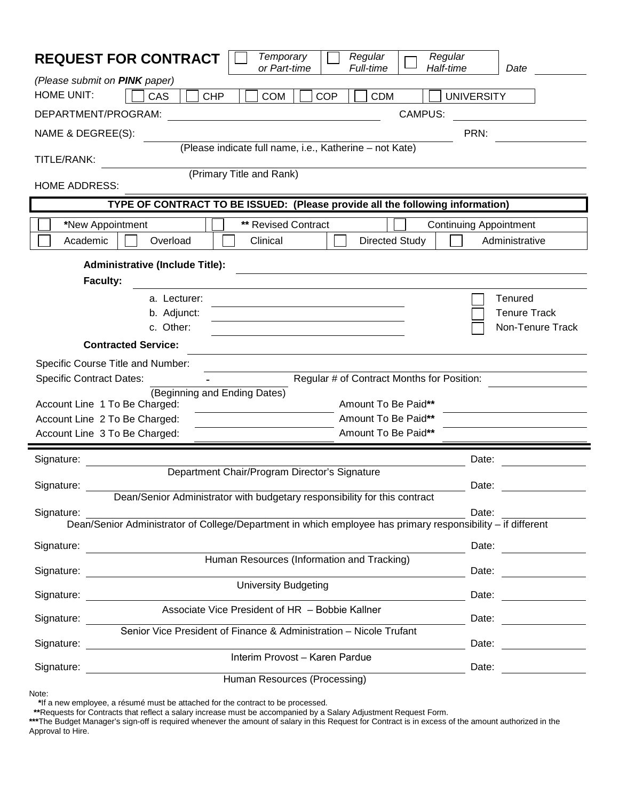| Regular<br>Regular<br>Temporary<br><b>REQUEST FOR CONTRACT</b><br>or Part-time<br><b>Full-time</b><br>Half-time           | Date                                               |
|---------------------------------------------------------------------------------------------------------------------------|----------------------------------------------------|
| (Please submit on PINK paper)                                                                                             |                                                    |
| <b>HOME UNIT:</b><br>CAS<br><b>CHP</b><br><b>COM</b><br><b>COP</b><br><b>CDM</b>                                          | <b>UNIVERSITY</b>                                  |
| <b>CAMPUS:</b><br>DEPARTMENT/PROGRAM:                                                                                     |                                                    |
| NAME & DEGREE(S):                                                                                                         | PRN:                                               |
| (Please indicate full name, i.e., Katherine - not Kate)<br>TITLE/RANK:                                                    |                                                    |
| (Primary Title and Rank)<br><b>HOME ADDRESS:</b>                                                                          |                                                    |
| TYPE OF CONTRACT TO BE ISSUED: (Please provide all the following information)                                             |                                                    |
| ** Revised Contract<br>*New Appointment<br>Academic<br>Overload<br><b>Directed Study</b><br>Clinical                      | <b>Continuing Appointment</b><br>Administrative    |
| <b>Administrative (Include Title):</b>                                                                                    |                                                    |
| <b>Faculty:</b>                                                                                                           |                                                    |
| a. Lecturer:<br>b. Adjunct:<br>c. Other:                                                                                  | Tenured<br><b>Tenure Track</b><br>Non-Tenure Track |
| <b>Contracted Service:</b>                                                                                                |                                                    |
| Specific Course Title and Number:                                                                                         |                                                    |
| Regular # of Contract Months for Position:<br><b>Specific Contract Dates:</b><br>(Beginning and Ending Dates)             |                                                    |
| Amount To Be Paid**<br>Account Line 1 To Be Charged:                                                                      |                                                    |
| Amount To Be Paid**<br>Account Line 2 To Be Charged:                                                                      |                                                    |
| Amount To Be Paid**<br>Account Line 3 To Be Charged:                                                                      |                                                    |
| Signature:                                                                                                                | Date:                                              |
| Department Chair/Program Director's Signature<br>Signature:                                                               | Date:                                              |
| Dean/Senior Administrator with budgetary responsibility for this contract                                                 | Date:                                              |
| Signature:<br>Dean/Senior Administrator of College/Department in which employee has primary responsibility - if different |                                                    |
| Signature:                                                                                                                | Date:                                              |
| Human Resources (Information and Tracking)<br>Signature:                                                                  | Date:                                              |
| <b>University Budgeting</b><br>Signature:                                                                                 | Date:                                              |
| Associate Vice President of HR - Bobbie Kallner<br>Signature:                                                             | Date:                                              |
| Senior Vice President of Finance & Administration - Nicole Trufant                                                        |                                                    |
| Signature:                                                                                                                | Date:                                              |
| Interim Provost - Karen Pardue<br>Signature:                                                                              | Date:                                              |
| Human Resources (Processing)                                                                                              |                                                    |

**\***If a new employee, a résumé must be attached for the contract to be processed.

**\*\***Requests for Contracts that reflect a salary increase must be accompanied by a Salary Adjustment Request Form.

**\*\*\***The Budget Manager's sign-off is required whenever the amount of salary in this Request for Contract is in excess of the amount authorized in the Approval to Hire.

Note: